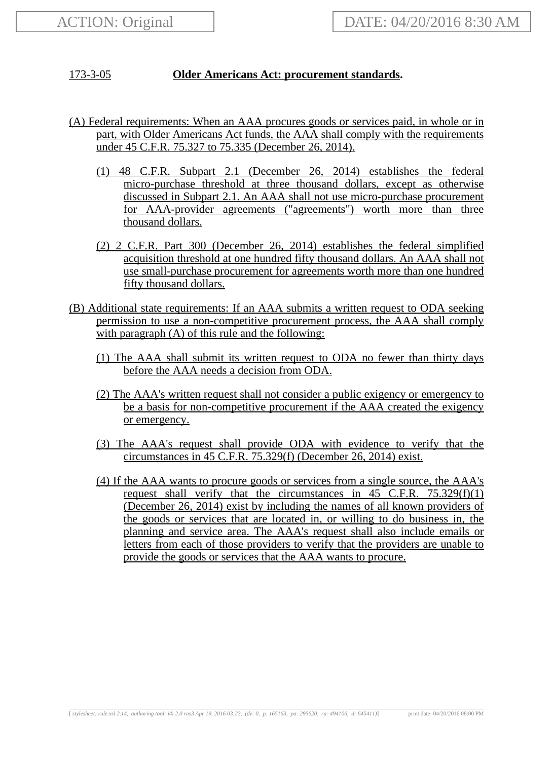## 173-3-05 **Older Americans Act: procurement standards.**

- (A) Federal requirements: When an AAA procures goods or services paid, in whole or in part, with Older Americans Act funds, the AAA shall comply with the requirements under 45 C.F.R. 75.327 to 75.335 (December 26, 2014).
	- (1) 48 C.F.R. Subpart 2.1 (December 26, 2014) establishes the federal micro-purchase threshold at three thousand dollars, except as otherwise discussed in Subpart 2.1. An AAA shall not use micro-purchase procurement for AAA-provider agreements ("agreements") worth more than three thousand dollars.
	- (2) 2 C.F.R. Part 300 (December 26, 2014) establishes the federal simplified acquisition threshold at one hundred fifty thousand dollars. An AAA shall not use small-purchase procurement for agreements worth more than one hundred fifty thousand dollars.
- (B) Additional state requirements: If an AAA submits a written request to ODA seeking permission to use a non-competitive procurement process, the AAA shall comply with paragraph (A) of this rule and the following:
	- (1) The AAA shall submit its written request to ODA no fewer than thirty days before the AAA needs a decision from ODA.
	- (2) The AAA's written request shall not consider a public exigency or emergency to be a basis for non-competitive procurement if the AAA created the exigency or emergency.
	- (3) The AAA's request shall provide ODA with evidence to verify that the circumstances in 45 C.F.R. 75.329(f) (December 26, 2014) exist.
	- (4) If the AAA wants to procure goods or services from a single source, the AAA's request shall verify that the circumstances in  $45$  C.F.R.  $75.329(f)(1)$ (December 26, 2014) exist by including the names of all known providers of the goods or services that are located in, or willing to do business in, the planning and service area. The AAA's request shall also include emails or letters from each of those providers to verify that the providers are unable to provide the goods or services that the AAA wants to procure.